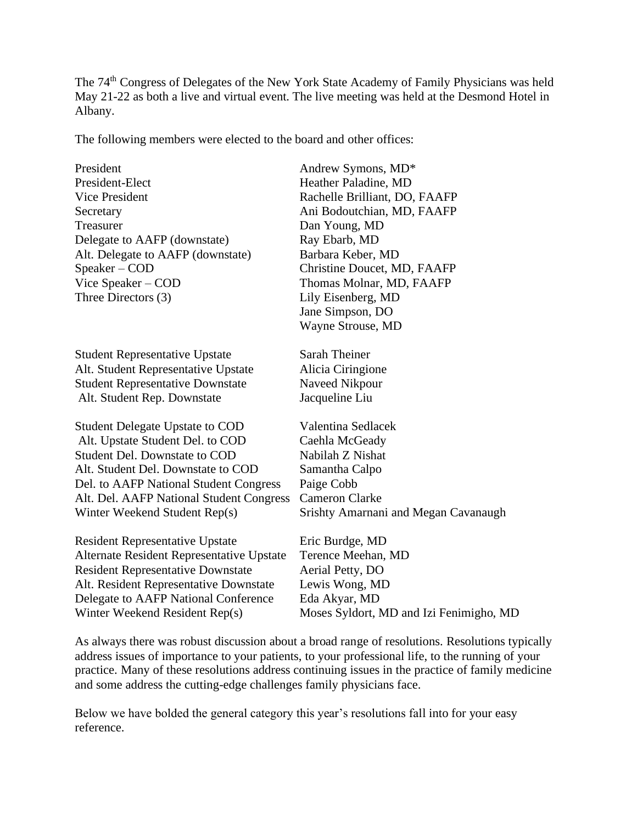The 74th Congress of Delegates of the New York State Academy of Family Physicians was held May 21-22 as both a live and virtual event. The live meeting was held at the Desmond Hotel in Albany.

The following members were elected to the board and other offices:

| President                                 | Andrew Symons, MD*                      |
|-------------------------------------------|-----------------------------------------|
| President-Elect                           | Heather Paladine, MD                    |
| Vice President                            | Rachelle Brilliant, DO, FAAFP           |
| Secretary                                 | Ani Bodoutchian, MD, FAAFP              |
| Treasurer                                 | Dan Young, MD                           |
| Delegate to AAFP (downstate)              | Ray Ebarb, MD                           |
| Alt. Delegate to AAFP (downstate)         | Barbara Keber, MD                       |
| Speaker – COD                             | Christine Doucet, MD, FAAFP             |
| Vice Speaker - COD                        | Thomas Molnar, MD, FAAFP                |
| Three Directors (3)                       | Lily Eisenberg, MD                      |
|                                           | Jane Simpson, DO                        |
|                                           | Wayne Strouse, MD                       |
| <b>Student Representative Upstate</b>     | Sarah Theiner                           |
| Alt. Student Representative Upstate       | Alicia Ciringione                       |
| <b>Student Representative Downstate</b>   | Naveed Nikpour                          |
| Alt. Student Rep. Downstate               | Jacqueline Liu                          |
| <b>Student Delegate Upstate to COD</b>    | Valentina Sedlacek                      |
| Alt. Upstate Student Del. to COD          | Caehla McGeady                          |
| Student Del. Downstate to COD             | Nabilah Z Nishat                        |
| Alt. Student Del. Downstate to COD        | Samantha Calpo                          |
| Del. to AAFP National Student Congress    | Paige Cobb                              |
| Alt. Del. AAFP National Student Congress  | <b>Cameron Clarke</b>                   |
| Winter Weekend Student Rep(s)             | Srishty Amarnani and Megan Cavanaugh    |
| <b>Resident Representative Upstate</b>    | Eric Burdge, MD                         |
| Alternate Resident Representative Upstate | Terence Meehan, MD                      |
| <b>Resident Representative Downstate</b>  | Aerial Petty, DO                        |
| Alt. Resident Representative Downstate    | Lewis Wong, MD                          |
| Delegate to AAFP National Conference      | Eda Akyar, MD                           |
| Winter Weekend Resident Rep(s)            | Moses Syldort, MD and Izi Fenimigho, MD |
|                                           |                                         |

As always there was robust discussion about a broad range of resolutions. Resolutions typically address issues of importance to your patients, to your professional life, to the running of your practice. Many of these resolutions address continuing issues in the practice of family medicine and some address the cutting-edge challenges family physicians face.

Below we have bolded the general category this year's resolutions fall into for your easy reference.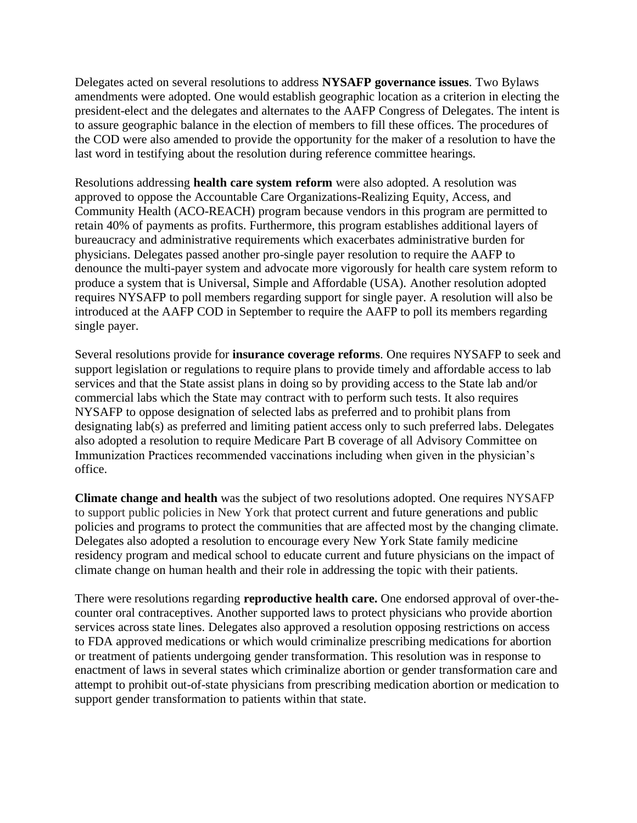Delegates acted on several resolutions to address **NYSAFP governance issues**. Two Bylaws amendments were adopted. One would establish geographic location as a criterion in electing the president-elect and the delegates and alternates to the AAFP Congress of Delegates. The intent is to assure geographic balance in the election of members to fill these offices. The procedures of the COD were also amended to provide the opportunity for the maker of a resolution to have the last word in testifying about the resolution during reference committee hearings.

Resolutions addressing **health care system reform** were also adopted. A resolution was approved to oppose the Accountable Care Organizations-Realizing Equity, Access, and Community Health (ACO-REACH) program because vendors in this program are permitted to retain 40% of payments as profits. Furthermore, this program establishes additional layers of bureaucracy and administrative requirements which exacerbates administrative burden for physicians. Delegates passed another pro-single payer resolution to require the AAFP to denounce the multi-payer system and advocate more vigorously for health care system reform to produce a system that is Universal, Simple and Affordable (USA). Another resolution adopted requires NYSAFP to poll members regarding support for single payer. A resolution will also be introduced at the AAFP COD in September to require the AAFP to poll its members regarding single payer.

Several resolutions provide for **insurance coverage reforms**. One requires NYSAFP to seek and support legislation or regulations to require plans to provide timely and affordable access to lab services and that the State assist plans in doing so by providing access to the State lab and/or commercial labs which the State may contract with to perform such tests. It also requires NYSAFP to oppose designation of selected labs as preferred and to prohibit plans from designating lab(s) as preferred and limiting patient access only to such preferred labs. Delegates also adopted a resolution to require Medicare Part B coverage of all Advisory Committee on Immunization Practices recommended vaccinations including when given in the physician's office.

**Climate change and health** was the subject of two resolutions adopted. One requires NYSAFP to support public policies in New York that protect current and future generations and public policies and programs to protect the communities that are affected most by the changing climate. Delegates also adopted a resolution to encourage every New York State family medicine residency program and medical school to educate current and future physicians on the impact of climate change on human health and their role in addressing the topic with their patients.

There were resolutions regarding **reproductive health care.** One endorsed approval of over-thecounter oral contraceptives. Another supported laws to protect physicians who provide abortion services across state lines. Delegates also approved a resolution opposing restrictions on access to FDA approved medications or which would criminalize prescribing medications for abortion or treatment of patients undergoing gender transformation. This resolution was in response to enactment of laws in several states which criminalize abortion or gender transformation care and attempt to prohibit out-of-state physicians from prescribing medication abortion or medication to support gender transformation to patients within that state.